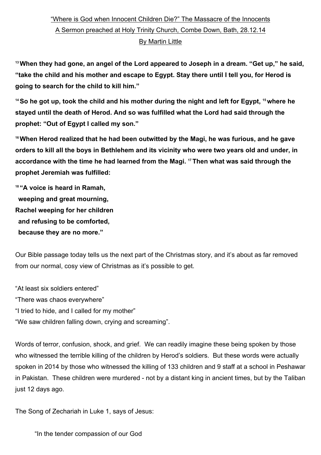## "Where is God when Innocent Children Die?" The Massacre of the Innocents A Sermon preached at Holy Trinity Church, Combe Down, Bath, 28.12.14 By Martin Little

**13When they had gone, an angel of the Lord appeared to Joseph in a dream. "Get up," he said, "take the child and his mother and escape to Egypt. Stay there until I tell you, for Herod is going to search for the child to kill him."**

**14So he got up, took the child and his mother during the night and left for Egypt, 15where he stayed until the death of Herod. And so was fulfilled what the Lord had said through the prophet: "Out of Egypt I called my son."**

**16When Herod realized that he had been outwitted by the Magi, he was furious, and he gave orders to kill all the boys in Bethlehem and its vicinity who were two years old and under, in accordance with the time he had learned from the Magi. 17Then what was said through the prophet Jeremiah was fulfilled:**

**<sup>18</sup> "A voice is heard in Ramah, weeping and great mourning, Rachel weeping for her children and refusing to be comforted, because they are no more."**

Our Bible passage today tells us the next part of the Christmas story, and it's about as far removed from our normal, cosy view of Christmas as it's possible to get.

"At least six soldiers entered"

"There was chaos everywhere"

"I tried to hide, and I called for my mother"

"We saw children falling down, crying and screaming".

Words of terror, confusion, shock, and grief. We can readily imagine these being spoken by those who witnessed the terrible killing of the children by Herod's soldiers. But these words were actually spoken in 2014 by those who witnessed the killing of 133 children and 9 staff at a school in Peshawar in Pakistan. These children were murdered - not by a distant king in ancient times, but by the Taliban just 12 days ago.

The Song of Zechariah in Luke 1, says of Jesus:

"In the tender compassion of our God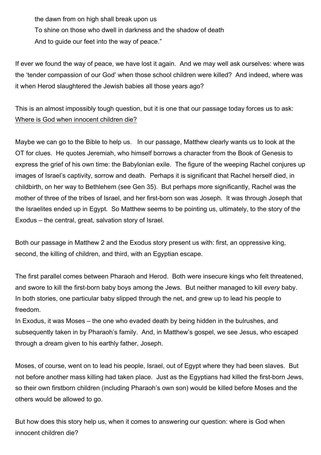the dawn from on high shall break upon us To shine on those who dwell in darkness and the shadow of death And to guide our feet into the way of peace."

If ever we found the way of peace, we have lost it again. And we may well ask ourselves: where was the 'tender compassion of our God' when those school children were killed? And indeed, where was it when Herod slaughtered the Jewish babies all those years ago?

This is an almost impossibly tough question, but it is one that our passage today forces us to ask: Where is God when innocent children die?

Maybe we can go to the Bible to help us. In our passage, Matthew clearly wants us to look at the OT for clues. He quotes Jeremiah, who himself borrows a character from the Book of Genesis to express the grief of his own time: the Babylonian exile. The figure of the weeping Rachel conjures up images of Israel's captivity, sorrow and death. Perhaps it is significant that Rachel herself died, in childbirth, on her way to Bethlehem (see Gen 35). But perhaps more significantly, Rachel was the mother of three of the tribes of Israel, and her first-born son was Joseph. It was through Joseph that the Israelites ended up in Egypt. So Matthew seems to be pointing us, ultimately, to the story of the Exodus – the central, great, salvation story of Israel.

Both our passage in Matthew 2 and the Exodus story present us with: first, an oppressive king, second, the killing of children, and third, with an Egyptian escape.

The first parallel comes between Pharaoh and Herod. Both were insecure kings who felt threatened, and swore to kill the first-born baby boys among the Jews. But neither managed to kill *every* baby. In both stories, one particular baby slipped through the net, and grew up to lead his people to freedom.

In Exodus, it was Moses – the one who evaded death by being hidden in the bulrushes, and subsequently taken in by Pharaoh's family. And, in Matthew's gospel, we see Jesus, who escaped through a dream given to his earthly father, Joseph.

Moses, of course, went on to lead his people, Israel, out of Egypt where they had been slaves. But not before another mass killing had taken place. Just as the Egyptians had killed the first-born Jews, so their own firstborn children (including Pharaoh's own son) would be killed before Moses and the others would be allowed to go.

But how does this story help us, when it comes to answering our question: where is God when innocent children die?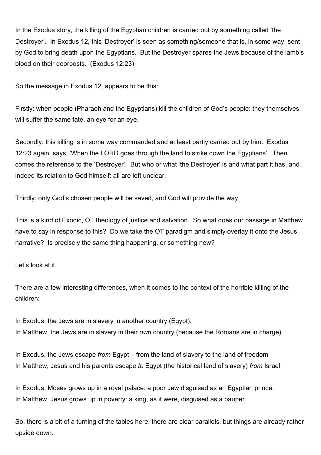In the Exodus story, the killing of the Egyptian children is carried out by something called 'the Destroyer'. In Exodus 12, this 'Destroyer' is seen as something/someone that is, in some way, sent by God to bring death upon the Egyptians. But the Destroyer spares the Jews because of the lamb's blood on their doorposts. (Exodus 12:23)

So the message in Exodus 12, appears to be this:

Firstly: when people (Pharaoh and the Egyptians) kill the children of God's people: they themselves will suffer the same fate, an eye for an eye.

Secondly: this killing is in some way commanded and at least partly carried out by him. Exodus 12:23 again, says: 'When the LORD goes through the land to strike down the Egyptians'. Then comes the reference to the 'Destroyer'. But who or what 'the Destroyer' is and what part it has, and indeed its relation to God himself: all are left unclear.

Thirdly: only God's chosen people will be saved, and God will provide the way.

This is a kind of Exodic, OT theology of justice and salvation. So what does our passage in Matthew have to say in response to this? Do we take the OT paradigm and simply overlay it onto the Jesus narrative? Is precisely the same thing happening, or something new?

Let's look at it.

There are a few interesting differences, when it comes to the context of the horrible killing of the children:

In Exodus, the Jews are in slavery in another country (Egypt). In Matthew, the Jews are in slavery in their *own* country (because the Romans are in charge).

In Exodus, the Jews escape *from* Egypt – from the land of slavery to the land of freedom In Matthew, Jesus and his parents escape *to* Egypt (the historical land of slavery) *from* Israel.

In Exodus, Moses grows up in a royal palace: a poor Jew disguised as an Egyptian prince. In Matthew, Jesus grows up in poverty: a king, as it were, disguised as a pauper.

So, there is a bit of a turning of the tables here: there are clear parallels, but things are already rather upside down.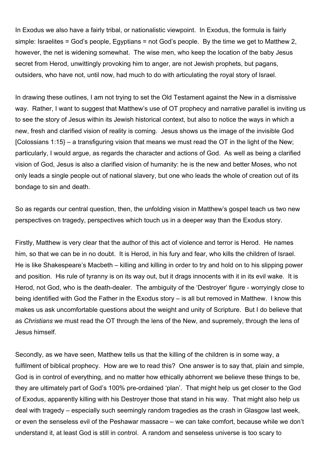In Exodus we also have a fairly tribal, or nationalistic viewpoint. In Exodus, the formula is fairly simple: Israelites = God's people, Egyptians = not God's people. By the time we get to Matthew 2, however, the net is widening somewhat. The wise men, who keep the location of the baby Jesus secret from Herod, unwittingly provoking him to anger, are not Jewish prophets, but pagans, outsiders, who have not, until now, had much to do with articulating the royal story of Israel.

In drawing these outlines, I am not trying to set the Old Testament against the New in a dismissive way. Rather, I want to suggest that Matthew's use of OT prophecy and narrative parallel is inviting us to see the story of Jesus within its Jewish historical context, but also to notice the ways in which a new, fresh and clarified vision of reality is coming. Jesus shows us the image of the invisible God [Colossians 1:15} – a transfiguring vision that means we must read the  $OT$  in the light of the New; particularly, I would argue, as regards the character and actions of God. As well as being a clarified vision of God, Jesus is also a clarified vision of humanity: he is the new and better Moses, who not only leads a single people out of national slavery, but one who leads the whole of creation out of its bondage to sin and death.

So as regards our central question, then, the unfolding vision in Matthew's gospel teach us two new perspectives on tragedy, perspectives which touch us in a deeper way than the Exodus story.

Firstly, Matthew is very clear that the author of this act of violence and terror is Herod. He names him, so that we can be in no doubt. It is Herod, in his fury and fear, who kills the children of Israel. He is like Shakespeare's Macbeth – killing and killing in order to try and hold on to his slipping power and position. His rule of tyranny is on its way out, but it drags innocents with it in its evil wake. It is Herod, not God, who is the death-dealer. The ambiguity of the 'Destroyer' figure - worryingly close to being identified with God the Father in the Exodus story – is all but removed in Matthew. I know this makes us ask uncomfortable questions about the weight and unity of Scripture. But I do believe that as *Christians* we must read the OT through the lens of the New, and supremely, through the lens of Jesus himself.

Secondly, as we have seen, Matthew tells us that the killing of the children is in some way, a fulfilment of biblical prophecy. How are we to read this? One answer is to say that, plain and simple, God is in control of everything, and no matter how ethically abhorrent we believe these things to be, they are ultimately part of God's 100% pre-ordained 'plan'. That might help us get closer to the God of Exodus, apparently killing with his Destroyer those that stand in his way. That might also help us deal with tragedy – especially such seemingly random tragedies as the crash in Glasgow last week, or even the senseless evil of the Peshawar massacre – we can take comfort, because while we don't understand it, at least God is still in control. A random and senseless universe is too scary to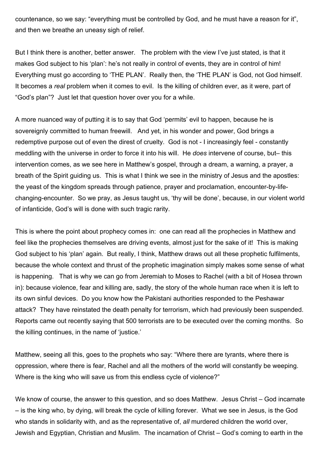countenance, so we say: "everything must be controlled by God, and he must have a reason for it", and then we breathe an uneasy sigh of relief.

But I think there is another, better answer. The problem with the view I've just stated, is that it makes God subject to his 'plan': he's not really in control of events, they are in control of him! Everything must go according to 'THE PLAN'. Really then, the 'THE PLAN' is God, not God himself. It becomes a *real* problem when it comes to evil. Is the killing of children ever, as it were, part of "God's plan"? Just let that question hover over you for a while.

A more nuanced way of putting it is to say that God 'permits' evil to happen, because he is sovereignly committed to human freewill. And yet, in his wonder and power, God brings a redemptive purpose out of even the direst of cruelty. God is not - I increasingly feel - constantly meddling with the universe in order to force it into his will. He *does* intervene of course, but– this intervention comes, as we see here in Matthew's gospel, through a dream, a warning, a prayer, a breath of the Spirit guiding us. This is what I think we see in the ministry of Jesus and the apostles: the yeast of the kingdom spreads through patience, prayer and proclamation, encounter-by-lifechanging-encounter. So we pray, as Jesus taught us, 'thy will be done', because, in our violent world of infanticide, God's will is done with such tragic rarity.

This is where the point about prophecy comes in: one can read all the prophecies in Matthew and feel like the prophecies themselves are driving events, almost just for the sake of it! This is making God subject to his 'plan' again. But really, I think, Matthew draws out all these prophetic fulfilments, because the whole context and thrust of the prophetic imagination simply makes some sense of what is happening. That is why we can go from Jeremiah to Moses to Rachel (with a bit of Hosea thrown in): because violence, fear and killing are, sadly, the story of the whole human race when it is left to its own sinful devices. Do you know how the Pakistani authorities responded to the Peshawar attack? They have reinstated the death penalty for terrorism, which had previously been suspended. Reports came out recently saying that 500 terrorists are to be executed over the coming months. So the killing continues, in the name of 'justice.'

Matthew, seeing all this, goes to the prophets who say: "Where there are tyrants, where there is oppression, where there is fear, Rachel and all the mothers of the world will constantly be weeping. Where is the king who will save us from this endless cycle of violence?"

We know of course, the answer to this question, and so does Matthew. Jesus Christ – God incarnate – is the king who, by dying, will break the cycle of killing forever. What we see in Jesus, is the God who stands in solidarity with, and as the representative of, *all* murdered children the world over, Jewish and Egyptian, Christian and Muslim. The incarnation of Christ – God's coming to earth in the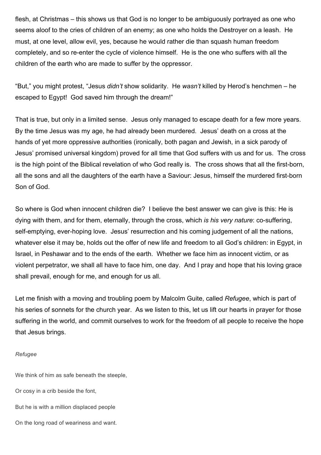flesh, at Christmas – this shows us that God is no longer to be ambiguously portrayed as one who seems aloof to the cries of children of an enemy; as one who holds the Destroyer on a leash. He must, at one level, allow evil, yes, because he would rather die than squash human freedom completely, and so re-enter the cycle of violence himself. He is the one who suffers with all the children of the earth who are made to suffer by the oppressor.

"But," you might protest, "Jesus *didn't* show solidarity. He *wasn't* killed by Herod's henchmen – he escaped to Egypt! God saved him through the dream!"

That is true, but only in a limited sense. Jesus only managed to escape death for a few more years. By the time Jesus was my age, he had already been murdered. Jesus' death on a cross at the hands of yet more oppressive authorities (ironically, both pagan and Jewish, in a sick parody of Jesus' promised universal kingdom) proved for all time that God suffers with us and for us. The cross is the high point of the Biblical revelation of who God really is. The cross shows that all the first-born, all the sons and all the daughters of the earth have a Saviour: Jesus, himself the murdered first-born Son of God.

So where is God when innocent children die? I believe the best answer we can give is this: He is dying with them, and for them, eternally, through the cross, which *is his very nature*: co-suffering, self-emptying, ever-hoping love. Jesus' resurrection and his coming judgement of all the nations, whatever else it may be, holds out the offer of new life and freedom to all God's children: in Egypt, in Israel, in Peshawar and to the ends of the earth. Whether we face him as innocent victim, or as violent perpetrator, we shall all have to face him, one day. And I pray and hope that his loving grace shall prevail, enough for me, and enough for us all.

Let me finish with a moving and troubling poem by Malcolm Guite, called *Refugee*, which is part of his series of sonnets for the church year. As we listen to this, let us lift our hearts in prayer for those suffering in the world, and commit ourselves to work for the freedom of all people to receive the hope that Jesus brings.

## *Refugee*

We think of him as safe beneath the steeple,

Or cosy in a crib beside the font,

But he is with a million displaced people

On the long road of weariness and want.